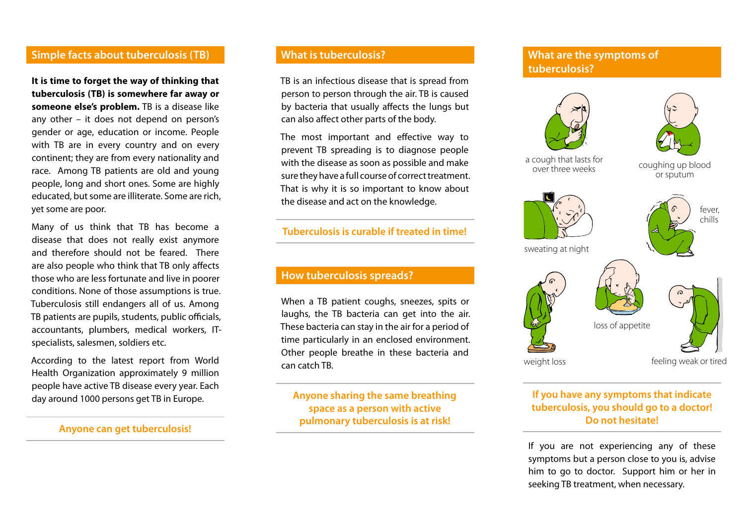## **Simple facts about tuberculosis (TB)**

**It is time to forget the way of thinking that tuberculosis (TB) is somewhere far away or someone else's problem.** TB is a disease like any other – it does not depend on person's gender or age, education or income. People with TB are in every country and on every continent; they are from every nationality and race. Among TB patients are old and young people, long and short ones. Some are highly educated, but some are illiterate. Some are rich, yet some are poor.

Many of us think that TB has become a disease that does not really exist anymore and therefore should not be feared. There are also people who think that TB only affects those who are less fortunate and live in poorer conditions. None of those assumptions is true. Tuberculosis still endangers all of us. Among TB patients are pupils, students, public officials, accountants, plumbers, medical workers, ITspecialists, salesmen, soldiers etc.

According to the latest report from World Health Organization approximately 9 million people have active TB disease every year. Each day around 1000 persons get TB in Europe.

#### **Anyone can get tuberculosis!**

## **What is tuberculosis?**

TB is an infectious disease that is spread from person to person through the air. TB is caused by bacteria that usually affects the lungs but can also affect other parts of the body.

The most important and effective way to prevent TB spreading is to diagnose people with the disease as soon as possible and make sure they have a full course of correct treatment. That is why it is so important to know about the disease and act on the knowledge.

#### **Tuberculosis is curable if treated in time!**

#### **How tuberculosis spreads?**

When a TB patient coughs, sneezes, spits or laughs, the TB bacteria can get into the air. These bacteria can stay in the air for a period of time particularly in an enclosed environment. Other people breathe in these bacteria and can catch TB.

**Anyone sharing the same breathing space as a person with active pulmonary tuberculosis is at risk!**

## **What are the symptoms of tuberculosis?**



#### **If you have any symptoms that indicate tuberculosis, you should go to a doctor! Do not hesitate!**

If you are not experiencing any of these symptoms but a person close to you is, advise him to go to doctor. Support him or her in seeking TB treatment, when necessary.